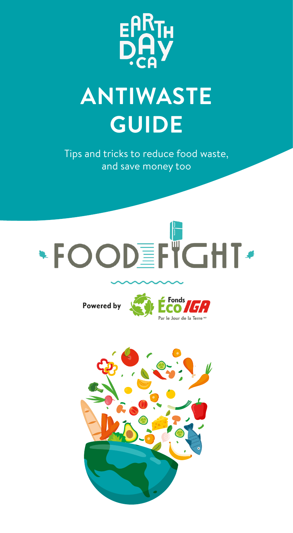

## **ANTIWASTE GUIDE**

Tips and tricks to reduce food waste, and save money too



Powered by



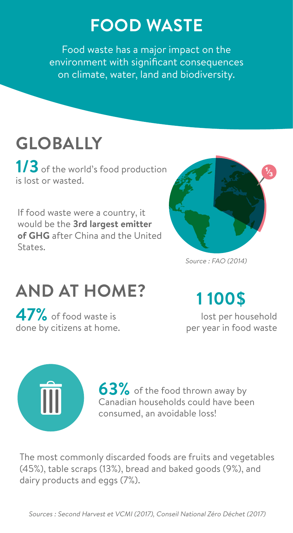## **FOOD WASTE**

Food waste has a major impact on the environment with significant consequences on climate, water, land and biodiversity.

## **GLOBALLY**

1/3 of the world's food production is lost or wasted.

If food waste were a country, it would be the **3rd largest emitter of GHG** after China and the United States.



Source : FAO (2014)

## **AND AT HOME?**

**47%** of food waste is done by citizens at home.

## **1 100\$**

 lost per household per year in food waste



**63%** of the food thrown away by Canadian households could have been consumed, an avoidable loss!

The most commonly discarded foods are fruits and vegetables (45%), table scraps (13%), bread and baked goods (9%), and dairy products and eggs (7%).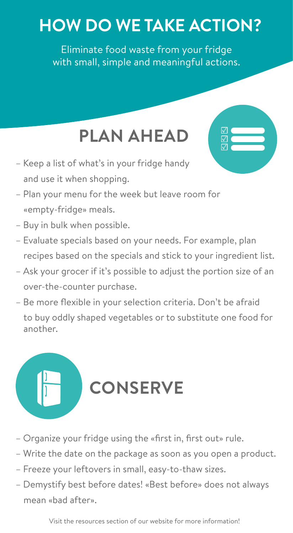## **HOW DO WE TAKE ACTION?**

Eliminate food waste from your fridge with small, simple and meaningful actions.

## **PLAN AHEAD**

☑ ☑ ☑

☑ ☑ ☑

- Keep a list of what's in your fridge handy and use it when shopping.
- Plan your menu for the week but leave room for «empty-fridge» meals.
- Buy in bulk when possible.
- Evaluate specials based on your needs. For example, plan recipes based on the specials and stick to your ingredient list.
- Ask your grocer if it's possible to adjust the portion size of an over-the-counter purchase.
- Be more flexible in your selection criteria. Don't be afraid to buy oddly shaped vegetables or to substitute one food for another.

# **CONSERVE**

- Organize your fridge using the «first in, first out» rule.
- Write the date on the package as soon as you open a product.
- Freeze your leftovers in small, easy-to-thaw sizes.
- Demystify best before dates! «Best before» does not always mean «bad after».

Visit the resources section of our website for more information!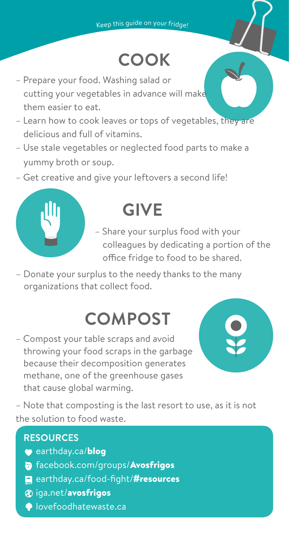## **COOK**

- Prepare your food. Washing salad or cutting your vegetables in advance will make them easier to eat.
- Learn how to cook leaves or tops of vegetables, they are delicious and full of vitamins.
- Use stale vegetables or neglected food parts to make a yummy broth or soup.
- Get creative and give your leftovers a second life!



## **GIVE**

– Share your surplus food with your colleagues by dedicating a portion of the office fridge to food to be shared.

– Donate your surplus to the needy thanks to the many organizations that collect food.

## **COMPOST**

– Compost your table scraps and avoid throwing your food scraps in the garbage because their decomposition generates methane, one of the greenhouse gases that cause global warming.



– Note that composting is the last resort to use, as it is not the solution to food waste.

#### **RESOURCES**

- earthday.ca/blog
- facebook.com/groups/Avosfrigos
- earthday.ca/food-fight/#resources
- **&** iga.net/avosfrigos
- **O**lovefoodhatewaste.ca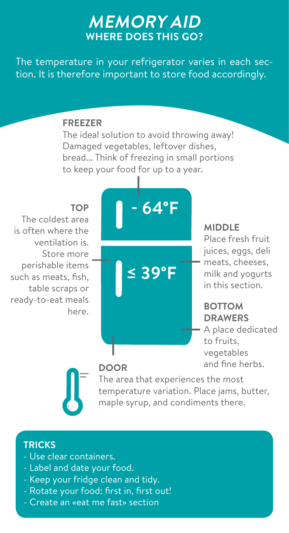## **MEMORY AID WHERE DOES THIS GO?**

The temperature in your refrigerator varies in each section. It is therefore important to store food accordingly.

#### **FREEZER**

The ideal solution to avoid throwing away! Damaged vegetables, leftover dishes, bread... Think of freezing in small portions to keep your food for up to a year.

#### **TOP**

The coldest area is often where the ventilation is. Store more perishable items such as meats, fish, table scraps or ready-to-eat meals here.



#### **MIDDLE**

Place fresh fruit juices, eggs, deli meats, cheeses, milk and yogurts in this section.

### **BOTTOM DRAWERS**

A place dedicated to fruits, vegetables and fine herbs. **DOOR**

The area that experiences the most temperature variation. Place jams, butter, maple syrup, and condiments there.

#### **TRICKS**

- Use clear containers.
- Label and date your food.
- Keep your fridge clean and tidy.
- Rotate your food: first in, first out!
- Create an «eat me fast» section